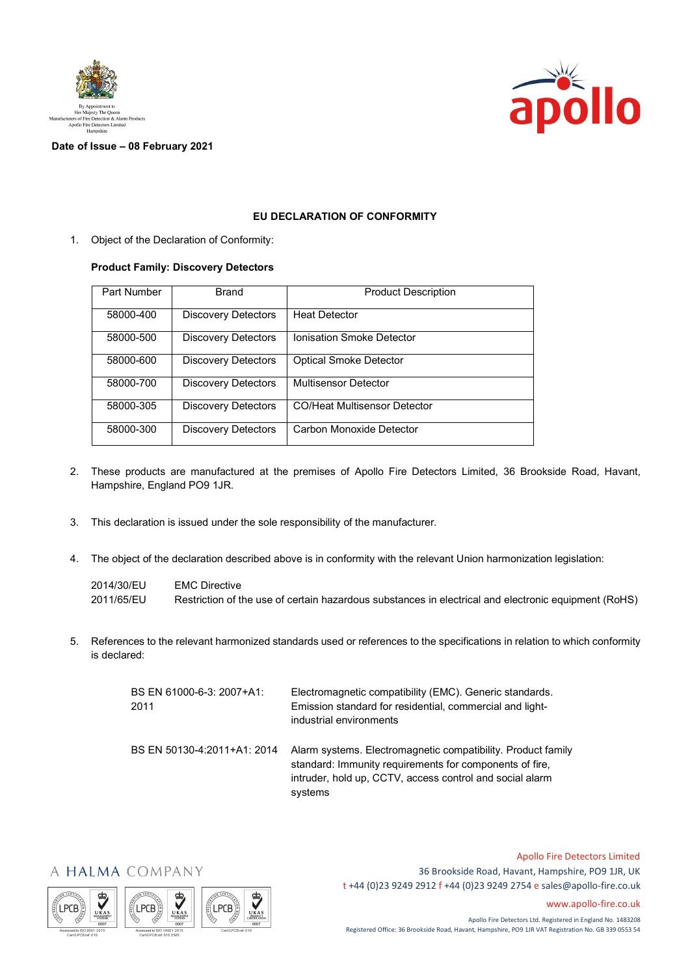



**Date of Issue – 08 February 2021**

## **EU DECLARATION OF CONFORMITY**

1. Object of the Declaration of Conformity:

## **Product Family: Discovery Detectors**

| Part Number | <b>Brand</b>               | <b>Product Description</b>          |
|-------------|----------------------------|-------------------------------------|
| 58000-400   | <b>Discovery Detectors</b> | <b>Heat Detector</b>                |
| 58000-500   | <b>Discovery Detectors</b> | Ionisation Smoke Detector           |
| 58000-600   | <b>Discovery Detectors</b> | <b>Optical Smoke Detector</b>       |
| 58000-700   | <b>Discovery Detectors</b> | <b>Multisensor Detector</b>         |
| 58000-305   | <b>Discovery Detectors</b> | <b>CO/Heat Multisensor Detector</b> |
| 58000-300   | <b>Discovery Detectors</b> | Carbon Monoxide Detector            |

- 2. These products are manufactured at the premises of Apollo Fire Detectors Limited, 36 Brookside Road, Havant, Hampshire, England PO9 1JR.
- 3. This declaration is issued under the sole responsibility of the manufacturer.
- 4. The object of the declaration described above is in conformity with the relevant Union harmonization legislation:

2014/30/EU EMC Directive 2011/65/EU Restriction of the use of certain hazardous substances in electrical and electronic equipment (RoHS)

5. References to the relevant harmonized standards used or references to the specifications in relation to which conformity is declared:

| BS EN 61000-6-3: 2007+A1:<br>2011 | Electromagnetic compatibility (EMC). Generic standards.<br>Emission standard for residential, commercial and light-<br>industrial environments                                                 |
|-----------------------------------|------------------------------------------------------------------------------------------------------------------------------------------------------------------------------------------------|
| BS EN 50130-4:2011+A1: 2014       | Alarm systems. Electromagnetic compatibility. Product family<br>standard: Immunity requirements for components of fire.<br>intruder, hold up, CCTV, access control and social alarm<br>systems |









Apollo Fire Detectors Limited 36 Brookside Road, Havant, Hampshire, PO9 1JR, UK t +44 (0)23 9249 2912 f +44 (0)23 9249 2754 [e sales@apollo-fire.co.uk](mailto:sales@apollo-fire.co.uk)

[www.apollo-fire.co.uk](http://www.apollo-fire.co.uk/)

Apollo Fire Detectors Ltd. Registered in England No. 1483208 Registered Office: 36 Brookside Road, Havant, Hampshire, PO9 1JR VAT Registration No. GB 339 0553 54